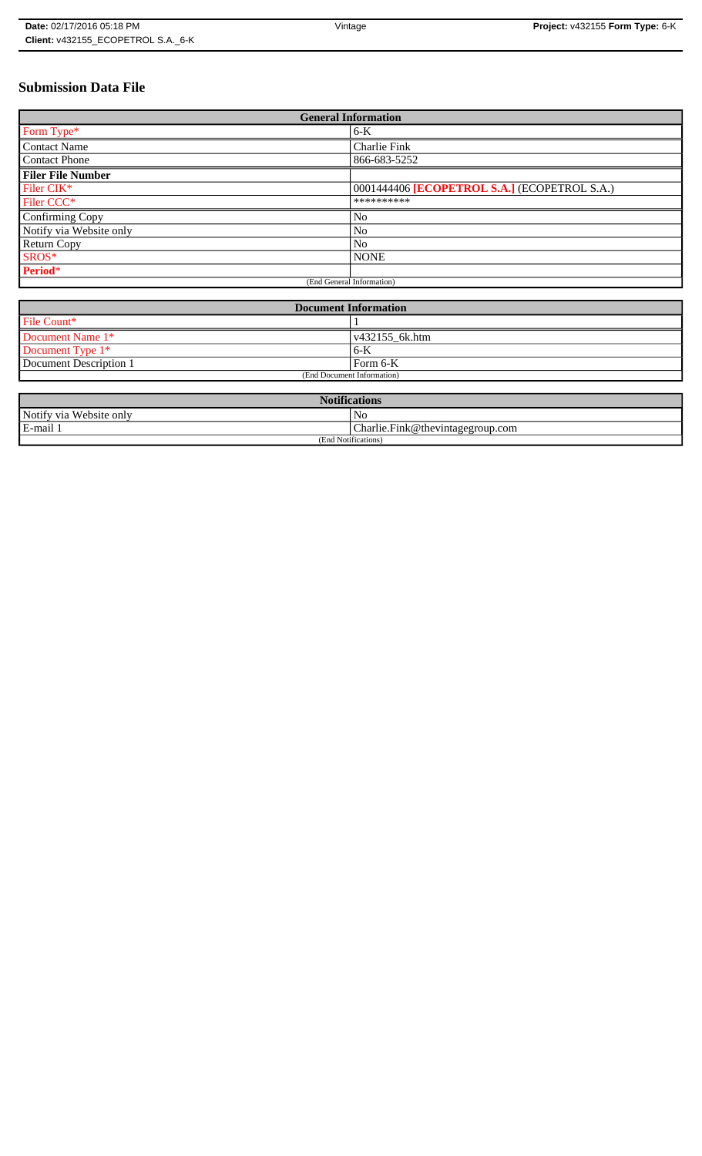# **Submission Data File**

| <b>General Information</b> |                                              |
|----------------------------|----------------------------------------------|
| Form Type*                 | 6-K                                          |
| <b>Contact Name</b>        | Charlie Fink                                 |
| <b>Contact Phone</b>       | 866-683-5252                                 |
| <b>Filer File Number</b>   |                                              |
| Filer CIK*                 | 0001444406 [ECOPETROL S.A.] (ECOPETROL S.A.) |
| Filer CCC <sup>*</sup>     | **********                                   |
| Confirming Copy            | No                                           |
| Notify via Website only    | N <sub>0</sub>                               |
| <b>Return Copy</b>         | N <sub>o</sub>                               |
| SROS*                      | <b>NONE</b>                                  |
| Period*                    |                                              |
| (End General Information)  |                                              |

| <b>Document Information</b> |                        |
|-----------------------------|------------------------|
| File Count*                 |                        |
| Document Name 1*            | $\sqrt{432155}$ 6k.htm |
| Document Type $1*$          | $6 - K$                |
| Document Description 1      | Form 6-K               |
| (End Document Information)  |                        |

| <b>Notifications</b>    |                                  |
|-------------------------|----------------------------------|
| Notify via Website only | No                               |
| E-mail 1                | Charlie.Fink@thevintagegroup.com |
| (End Notifications)     |                                  |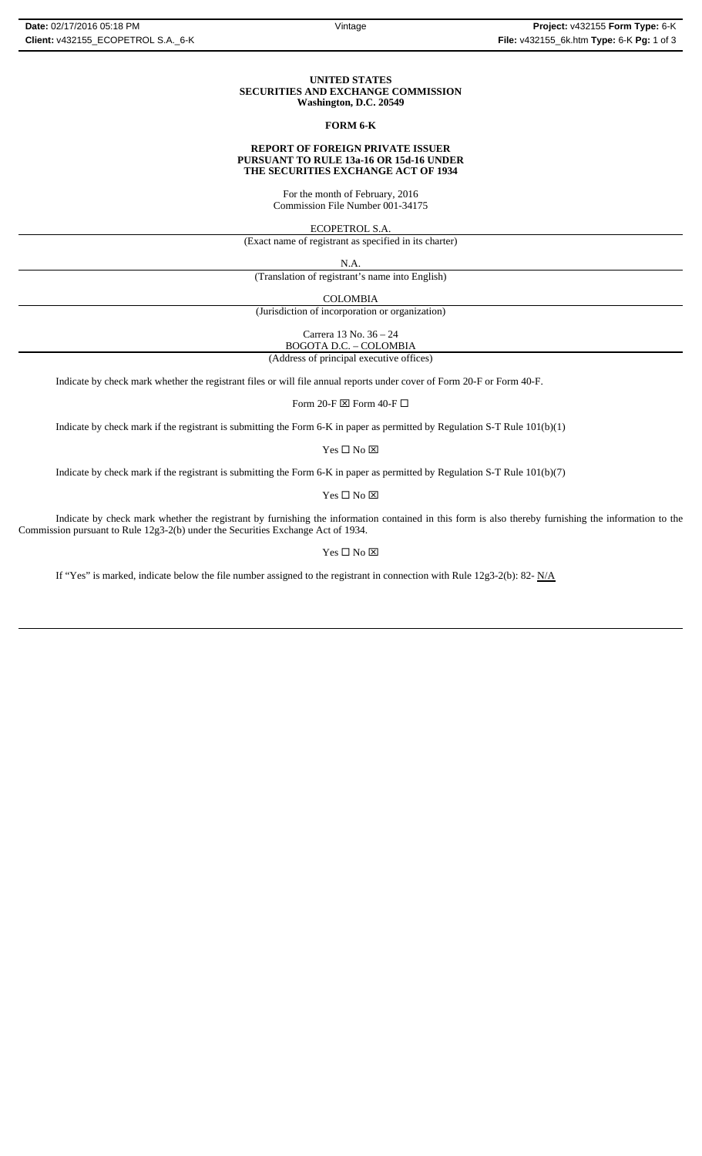## **UNITED STATES SECURITIES AND EXCHANGE COMMISSION Washington, D.C. 20549**

# **FORM 6-K**

## **REPORT OF FOREIGN PRIVATE ISSUER PURSUANT TO RULE 13a-16 OR 15d-16 UNDER THE SECURITIES EXCHANGE ACT OF 1934**

For the month of February, 2016 Commission File Number 001-34175

ECOPETROL S.A.

(Exact name of registrant as specified in its charter)

N.A.

(Translation of registrant's name into English)

COLOMBIA

(Jurisdiction of incorporation or organization)

Carrera 13 No. 36 – 24 BOGOTA D.C. – COLOMBIA

(Address of principal executive offices)

Indicate by check mark whether the registrant files or will file annual reports under cover of Form 20-F or Form 40-F.

Form 20-F  $\boxtimes$  Form 40-F  $\Box$ 

Indicate by check mark if the registrant is submitting the Form 6-K in paper as permitted by Regulation S-T Rule 101(b)(1)

Yes $\square$  No  $\square$ 

Indicate by check mark if the registrant is submitting the Form 6-K in paper as permitted by Regulation S-T Rule 101(b)(7)

 $\mathbf{Yes} \ \square \ \mathbf{No} \ \boxtimes$ 

Indicate by check mark whether the registrant by furnishing the information contained in this form is also thereby furnishing the information to the Commission pursuant to Rule 12g3-2(b) under the Securities Exchange Act of 1934.

 $Yes \Box No \boxtimes$ 

If "Yes" is marked, indicate below the file number assigned to the registrant in connection with Rule 12g3-2(b): 82-  $N/A$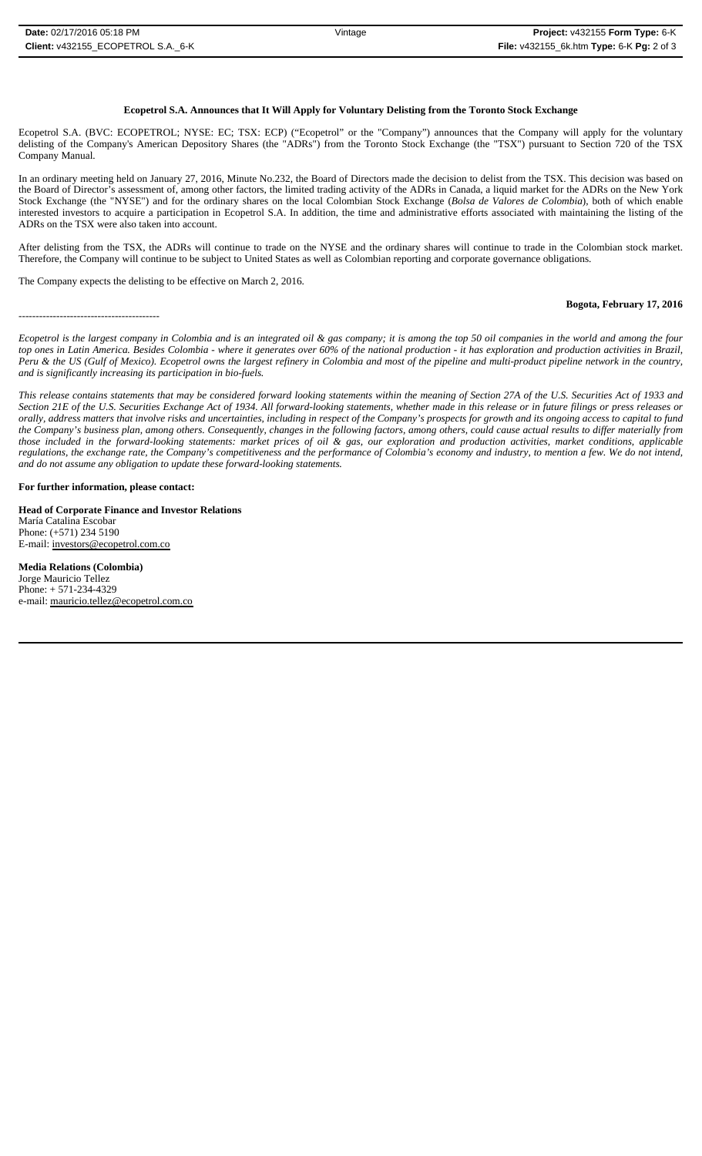# **Ecopetrol S.A. Announces that It Will Apply for Voluntary Delisting from the Toronto Stock Exchange**

Ecopetrol S.A. (BVC: ECOPETROL; NYSE: EC; TSX: ECP) ("Ecopetrol" or the "Company") announces that the Company will apply for the voluntary delisting of the Company's American Depository Shares (the "ADRs") from the Toronto Stock Exchange (the "TSX") pursuant to Section 720 of the TSX Company Manual.

In an ordinary meeting held on January 27, 2016, Minute No.232, the Board of Directors made the decision to delist from the TSX. This decision was based on the Board of Director's assessment of, among other factors, the limited trading activity of the ADRs in Canada, a liquid market for the ADRs on the New York Stock Exchange (the "NYSE") and for the ordinary shares on the local Colombian Stock Exchange (*Bolsa de Valores de Colombia*), both of which enable interested investors to acquire a participation in Ecopetrol S.A. In addition, the time and administrative efforts associated with maintaining the listing of the ADRs on the TSX were also taken into account.

After delisting from the TSX, the ADRs will continue to trade on the NYSE and the ordinary shares will continue to trade in the Colombian stock market. Therefore, the Company will continue to be subject to United States as well as Colombian reporting and corporate governance obligations.

The Company expects the delisting to be effective on March 2, 2016.

-----------------------------------------

#### **Bogota, February 17, 2016**

*Ecopetrol is the largest company in Colombia and is an integrated oil & gas company; it is among the top 50 oil companies in the world and among the four top ones in Latin America. Besides Colombia - where it generates over 60% of the national production - it has exploration and production activities in Brazil, Peru & the US (Gulf of Mexico). Ecopetrol owns the largest refinery in Colombia and most of the pipeline and multi-product pipeline network in the country, and is significantly increasing its participation in bio-fuels.*

*This release contains statements that may be considered forward looking statements within the meaning of Section 27A of the U.S. Securities Act of 1933 and Section 21E of the U.S. Securities Exchange Act of 1934. All forward-looking statements, whether made in this release or in future filings or press releases or orally, address matters that involve risks and uncertainties, including in respect of the Company's prospects for growth and its ongoing access to capital to fund the Company's business plan, among others. Consequently, changes in the following factors, among others, could cause actual results to differ materially from those included in the forward-looking statements: market prices of oil & gas, our exploration and production activities, market conditions, applicable regulations, the exchange rate, the Company's competitiveness and the performance of Colombia's economy and industry, to mention a few. We do not intend, and do not assume any obligation to update these forward-looking statements.*

#### **For further information, please contact:**

**Head of Corporate Finance and Investor Relations** María Catalina Escobar Phone: (+571) 234 5190 E-mail: investors@ecopetrol.com.co

**Media Relations (Colombia)**  Jorge Mauricio Tellez Phone: + 571-234-4329 e-mail: mauricio.tellez@ecopetrol.com.co